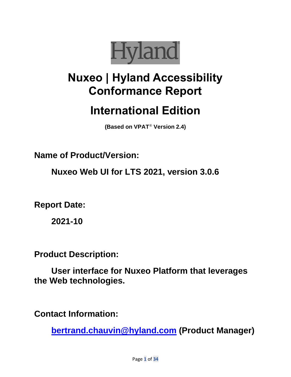

# **Nuxeo | Hyland Accessibility Conformance Report**

# **International Edition**

**(Based on VPAT**® **Version 2.4)**

**Name of Product/Version:** 

**Nuxeo Web UI for LTS 2021, version 3.0.6**

**Report Date:** 

**2021-10**

**Product Description:** 

**User interface for Nuxeo Platform that leverages the Web technologies.**

**Contact Information:** 

**[bertrand.chauvin@hyland.com](mailto:bertrand.chauvin@hyland.com) (Product Manager)**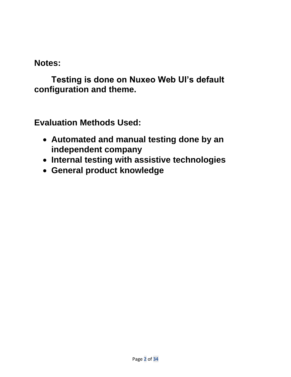**Notes:**

**Testing is done on Nuxeo Web UI's default configuration and theme.**

**Evaluation Methods Used:**

- **Automated and manual testing done by an independent company**
- **Internal testing with assistive technologies**
- **General product knowledge**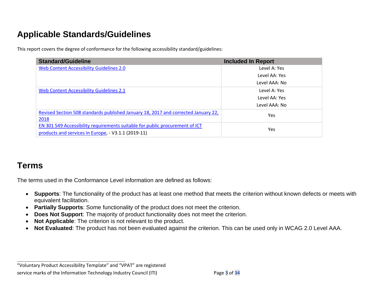# **Applicable Standards/Guidelines**

This report covers the degree of conformance for the following accessibility standard/guidelines:

| <b>Standard/Guideline</b>                                                          | <b>Included In Report</b> |
|------------------------------------------------------------------------------------|---------------------------|
| Web Content Accessibility Guidelines 2.0                                           | Level A: Yes              |
|                                                                                    | Level AA: Yes             |
|                                                                                    | Level AAA: No             |
| Web Content Accessibility Guidelines 2.1                                           | Level A: Yes              |
|                                                                                    | Level AA: Yes             |
|                                                                                    | Level AAA: No             |
| Revised Section 508 standards published January 18, 2017 and corrected January 22, | Yes                       |
| 2018                                                                               |                           |
| EN 301 549 Accessibility requirements suitable for public procurement of ICT       | Yes                       |
| products and services in Europe, - V3.1.1 (2019-11)                                |                           |

## **Terms**

The terms used in the Conformance Level information are defined as follows:

- **Supports**: The functionality of the product has at least one method that meets the criterion without known defects or meets with equivalent facilitation.
- **Partially Supports**: Some functionality of the product does not meet the criterion.
- **Does Not Support**: The majority of product functionality does not meet the criterion.
- **Not Applicable:** The criterion is not relevant to the product.
- **Not Evaluated**: The product has not been evaluated against the criterion. This can be used only in WCAG 2.0 Level AAA.

"Voluntary Product Accessibility Template" and "VPAT" are registered service marks of the Information Technology Industry Council (ITI) Page **3** of **34**

**\_\_\_\_\_\_\_\_\_\_\_\_\_\_\_\_\_\_\_\_\_\_\_\_\_\_\_\_\_\_\_\_\_\_**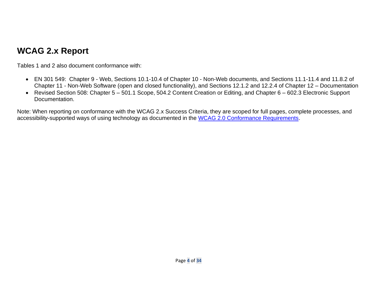# **WCAG 2.x Report**

Tables 1 and 2 also document conformance with:

- EN 301 549: Chapter 9 Web, Sections 10.1-10.4 of Chapter 10 Non-Web documents, and Sections 11.1-11.4 and 11.8.2 of Chapter 11 - Non-Web Software (open and closed functionality), and Sections 12.1.2 and 12.2.4 of Chapter 12 – Documentation
- Revised Section 508: Chapter 5 501.1 Scope, 504.2 Content Creation or Editing, and Chapter 6 602.3 Electronic Support Documentation.

Note: When reporting on conformance with the WCAG 2.x Success Criteria, they are scoped for full pages, complete processes, and accessibility-supported ways of using technology as documented in the [WCAG 2.0 Conformance Requirements.](https://www.w3.org/TR/WCAG20/#conformance-reqs)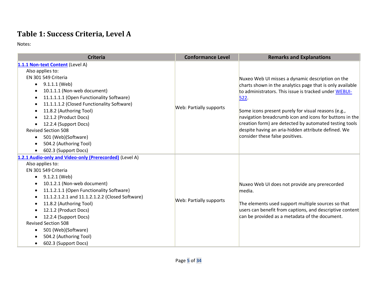# **Table 1: Success Criteria, Level A**

| <b>Criteria</b>                                                                                                                                                                                                                                                                                                                                                                                                                       | <b>Conformance Level</b> | <b>Remarks and Explanations</b>                                                                                                                                                                                                                                                                                                                                                                                                                      |
|---------------------------------------------------------------------------------------------------------------------------------------------------------------------------------------------------------------------------------------------------------------------------------------------------------------------------------------------------------------------------------------------------------------------------------------|--------------------------|------------------------------------------------------------------------------------------------------------------------------------------------------------------------------------------------------------------------------------------------------------------------------------------------------------------------------------------------------------------------------------------------------------------------------------------------------|
| 1.1.1 Non-text Content (Level A)<br>Also applies to:<br>EN 301 549 Criteria<br>9.1.1.1 (Web)<br>$\bullet$<br>10.1.1.1 (Non-web document)<br>11.1.1.1.1 (Open Functionality Software)<br>11.1.1.1.2 (Closed Functionality Software)<br>11.8.2 (Authoring Tool)<br>12.1.2 (Product Docs)<br>12.2.4 (Support Docs)<br><b>Revised Section 508</b><br>501 (Web)(Software)<br>504.2 (Authoring Tool)<br>602.3 (Support Docs)                | Web: Partially supports  | Nuxeo Web UI misses a dynamic description on the<br>charts shown in the analytics page that is only available<br>to administrators. This issue is tracked under WEBUI-<br>522.<br>Some icons present purely for visual reasons (e.g.,<br>navigation breadcrumb icon and icons for buttons in the<br>creation form) are detected by automated testing tools<br>despite having an aria-hidden attribute defined. We<br>consider these false positives. |
| 1.2.1 Audio-only and Video-only (Prerecorded) (Level A)<br>Also applies to:<br>EN 301 549 Criteria<br>9.1.2.1 (Web)<br>10.1.2.1 (Non-web document)<br>11.1.2.1.1 (Open Functionality Software)<br>11.1.2.1.2.1 and 11.1.2.1.2.2 (Closed Software)<br>11.8.2 (Authoring Tool)<br>12.1.2 (Product Docs)<br>12.2.4 (Support Docs)<br><b>Revised Section 508</b><br>501 (Web)(Software)<br>504.2 (Authoring Tool)<br>602.3 (Support Docs) | Web: Partially supports  | Nuxeo Web UI does not provide any prerecorded<br>media.<br>The elements used support multiple sources so that<br>users can benefit from captions, and descriptive content<br>can be provided as a metadata of the document.                                                                                                                                                                                                                          |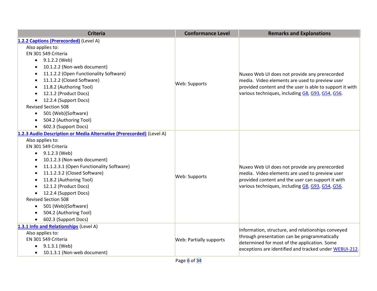| <b>Criteria</b>                                                      | <b>Conformance Level</b>       | <b>Remarks and Explanations</b>                                                                 |
|----------------------------------------------------------------------|--------------------------------|-------------------------------------------------------------------------------------------------|
| 1.2.2 Captions (Prerecorded) (Level A)                               |                                |                                                                                                 |
| Also applies to:                                                     |                                |                                                                                                 |
| EN 301 549 Criteria                                                  |                                |                                                                                                 |
| 9.1.2.2 (Web)<br>$\bullet$                                           |                                |                                                                                                 |
| 10.1.2.2 (Non-web document)<br>$\bullet$                             |                                |                                                                                                 |
| 11.1.2.2 (Open Functionality Software)<br>$\bullet$                  |                                | Nuxeo Web UI does not provide any prerecorded                                                   |
| 11.1.2.2 (Closed Software)<br>$\bullet$                              |                                | media. Video elements are used to preview user                                                  |
| 11.8.2 (Authoring Tool)                                              | Web: Supports                  | provided content and the user is able to support it with                                        |
| 12.1.2 (Product Docs)<br>$\bullet$                                   |                                | various techniques, including G8, G93, G54, G56.                                                |
| 12.2.4 (Support Docs)                                                |                                |                                                                                                 |
| <b>Revised Section 508</b>                                           |                                |                                                                                                 |
| 501 (Web)(Software)<br>$\bullet$                                     |                                |                                                                                                 |
| 504.2 (Authoring Tool)<br>$\bullet$                                  |                                |                                                                                                 |
| 602.3 (Support Docs)<br>$\bullet$                                    |                                |                                                                                                 |
| 1.2.3 Audio Description or Media Alternative (Prerecorded) (Level A) |                                |                                                                                                 |
| Also applies to:                                                     |                                | Nuxeo Web UI does not provide any prerecorded<br>media. Video elements are used to preview user |
| EN 301 549 Criteria                                                  |                                |                                                                                                 |
| 9.1.2.3 (Web)<br>$\bullet$                                           |                                |                                                                                                 |
| 10.1.2.3 (Non-web document)<br>٠                                     |                                |                                                                                                 |
| 11.1.2.3.1 (Open Functionality Software)<br>$\bullet$                |                                |                                                                                                 |
| 11.1.2.3.2 (Closed Software)<br>$\bullet$                            | Web: Supports                  |                                                                                                 |
| 11.8.2 (Authoring Tool)<br>$\bullet$                                 |                                | provided content and the user can support it with                                               |
| 12.1.2 (Product Docs)                                                |                                | various techniques, including G8, G93, G54, G56.                                                |
| 12.2.4 (Support Docs)                                                |                                |                                                                                                 |
| <b>Revised Section 508</b>                                           |                                |                                                                                                 |
| 501 (Web)(Software)<br>$\bullet$                                     |                                |                                                                                                 |
| 504.2 (Authoring Tool)<br>$\bullet$                                  |                                |                                                                                                 |
| 602.3 (Support Docs)<br>$\bullet$                                    |                                |                                                                                                 |
| 1.3.1 Info and Relationships (Level A)                               |                                | Information, structure, and relationships conveyed                                              |
| Also applies to:                                                     |                                | through presentation can be programmatically                                                    |
| EN 301 549 Criteria                                                  | <b>Web: Partially supports</b> | determined for most of the application. Some                                                    |
| 9.1.3.1 (Web)                                                        |                                | exceptions are identified and tracked under WEBUI-212.                                          |
| 10.1.3.1 (Non-web document)<br>$\bullet$                             |                                |                                                                                                 |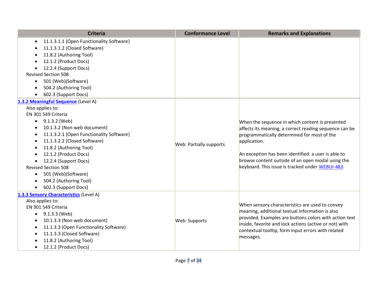| <b>Criteria</b>                                                                                                                                                                                                                                                                                                                                                                                                                                                                                                                  | <b>Conformance Level</b>       | <b>Remarks and Explanations</b>                                                                                                                                                                                                                                                                                                          |
|----------------------------------------------------------------------------------------------------------------------------------------------------------------------------------------------------------------------------------------------------------------------------------------------------------------------------------------------------------------------------------------------------------------------------------------------------------------------------------------------------------------------------------|--------------------------------|------------------------------------------------------------------------------------------------------------------------------------------------------------------------------------------------------------------------------------------------------------------------------------------------------------------------------------------|
| 11.1.3.1.1 (Open Functionality Software)<br>$\bullet$<br>11.1.3.1.2 (Closed Software)<br>11.8.2 (Authoring Tool)<br>12.1.2 (Product Docs)<br>12.2.4 (Support Docs)<br>$\bullet$<br><b>Revised Section 508</b><br>501 (Web)(Software)<br>$\bullet$<br>504.2 (Authoring Tool)<br>$\bullet$<br>602.3 (Support Docs)<br>$\bullet$                                                                                                                                                                                                    |                                |                                                                                                                                                                                                                                                                                                                                          |
| 1.3.2 Meaningful Sequence (Level A)<br>Also applies to:<br>EN 301 549 Criteria<br>9.1.3.2 (Web)<br>$\bullet$<br>10.1.3.2 (Non-web document)<br>$\bullet$<br>11.1.3.2.1 (Open Functionality Software)<br>$\bullet$<br>11.1.3.2.2 (Closed Software)<br>$\bullet$<br>11.8.2 (Authoring Tool)<br>$\bullet$<br>12.1.2 (Product Docs)<br>$\bullet$<br>12.2.4 (Support Docs)<br>$\bullet$<br><b>Revised Section 508</b><br>501 (Web)(Software)<br>$\bullet$<br>504.2 (Authoring Tool)<br>$\bullet$<br>602.3 (Support Docs)<br>$\bullet$ | <b>Web: Partially supports</b> | When the sequence in which content is presented<br>affects its meaning, a correct reading sequence can be<br>programmatically determined for most of the<br>application.<br>An exception has been identified: a user is able to<br>browse content outside of an open modal using the<br>keyboard. This issue is tracked under WEBUI-483. |
| 1.3.3 Sensory Characteristics (Level A)<br>Also applies to:<br>EN 301 549 Criteria<br>9.1.3.3 (Web)<br>$\bullet$<br>10.1.3.3 (Non-web document)<br>$\bullet$<br>11.1.3.3 (Open Functionality Software)<br>$\bullet$<br>11.1.3.3 (Closed Software)<br>$\bullet$<br>11.8.2 (Authoring Tool)<br>$\bullet$<br>12.1.2 (Product Docs)<br>$\bullet$                                                                                                                                                                                     | Web: Supports                  | When sensory characteristics are used to convey<br>meaning, additional textual information is also<br>provided. Examples are buttons colors with action text<br>inside, favorite and lock actions (active or not) with<br>contextual tooltip, form input errors with related<br>messages.                                                |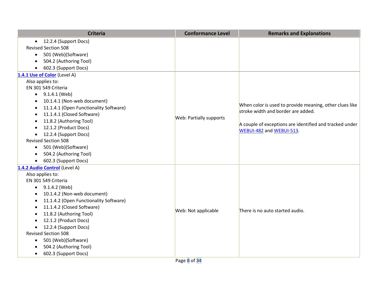| <b>Criteria</b>                                     | <b>Conformance Level</b> | <b>Remarks and Explanations</b>                                                     |
|-----------------------------------------------------|--------------------------|-------------------------------------------------------------------------------------|
| 12.2.4 (Support Docs)<br>$\bullet$                  |                          |                                                                                     |
| <b>Revised Section 508</b>                          |                          |                                                                                     |
| 501 (Web)(Software)<br>$\bullet$                    |                          |                                                                                     |
| 504.2 (Authoring Tool)<br>$\bullet$                 |                          |                                                                                     |
| 602.3 (Support Docs)                                |                          |                                                                                     |
| 1.4.1 Use of Color (Level A)                        |                          |                                                                                     |
| Also applies to:                                    |                          |                                                                                     |
| EN 301 549 Criteria                                 |                          |                                                                                     |
| 9.1.4.1 (Web)<br>$\bullet$                          |                          |                                                                                     |
| 10.1.4.1 (Non-web document)<br>$\bullet$            |                          |                                                                                     |
| 11.1.4.1 (Open Functionality Software)<br>$\bullet$ |                          | When color is used to provide meaning, other clues like                             |
| 11.1.4.1 (Closed Software)<br>$\bullet$             |                          | stroke width and border are added.                                                  |
| 11.8.2 (Authoring Tool)<br>٠                        | Web: Partially supports  |                                                                                     |
| 12.1.2 (Product Docs)<br>$\bullet$                  |                          | A couple of exceptions are identified and tracked under<br>WEBUI-482 and WEBUI-513. |
| 12.2.4 (Support Docs)<br>$\bullet$                  |                          |                                                                                     |
| <b>Revised Section 508</b>                          |                          |                                                                                     |
| 501 (Web)(Software)<br>$\bullet$                    |                          |                                                                                     |
| 504.2 (Authoring Tool)                              |                          |                                                                                     |
| 602.3 (Support Docs)<br>$\bullet$                   |                          |                                                                                     |
| 1.4.2 Audio Control (Level A)                       |                          |                                                                                     |
| Also applies to:                                    |                          |                                                                                     |
| EN 301 549 Criteria                                 |                          |                                                                                     |
| $\bullet$ 9.1.4.2 (Web)                             |                          |                                                                                     |
| 10.1.4.2 (Non-web document)                         |                          |                                                                                     |
| 11.1.4.2 (Open Functionality Software)<br>$\bullet$ |                          |                                                                                     |
| 11.1.4.2 (Closed Software)<br>$\bullet$             | Web: Not applicable      | There is no auto started audio.                                                     |
| 11.8.2 (Authoring Tool)<br>$\bullet$                |                          |                                                                                     |
| 12.1.2 (Product Docs)<br>$\bullet$                  |                          |                                                                                     |
| 12.2.4 (Support Docs)<br>$\bullet$                  |                          |                                                                                     |
| <b>Revised Section 508</b>                          |                          |                                                                                     |
| 501 (Web)(Software)<br>$\bullet$                    |                          |                                                                                     |
| 504.2 (Authoring Tool)                              |                          |                                                                                     |
| 602.3 (Support Docs)<br>$\bullet$                   |                          |                                                                                     |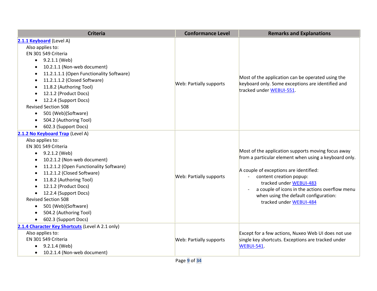| <b>Criteria</b>                                                                                                                                                                                                                                                                                                                                                                                                                                                                                          | <b>Conformance Level</b>       | <b>Remarks and Explanations</b>                                                                                                                                                                                                                                                                                                   |
|----------------------------------------------------------------------------------------------------------------------------------------------------------------------------------------------------------------------------------------------------------------------------------------------------------------------------------------------------------------------------------------------------------------------------------------------------------------------------------------------------------|--------------------------------|-----------------------------------------------------------------------------------------------------------------------------------------------------------------------------------------------------------------------------------------------------------------------------------------------------------------------------------|
| 2.1.1 Keyboard (Level A)<br>Also applies to:<br>EN 301 549 Criteria<br>9.2.1.1 (Web)<br>$\bullet$<br>10.2.1.1 (Non-web document)<br>$\bullet$<br>11.2.1.1.1 (Open Functionality Software)<br>$\bullet$<br>11.2.1.1.2 (Closed Software)<br>$\bullet$<br>11.8.2 (Authoring Tool)<br>$\bullet$<br>12.1.2 (Product Docs)<br>$\bullet$<br>12.2.4 (Support Docs)<br>$\bullet$<br><b>Revised Section 508</b><br>501 (Web)(Software)<br>$\bullet$<br>504.2 (Authoring Tool)<br>$\bullet$<br>602.3 (Support Docs) | <b>Web: Partially supports</b> | Most of the application can be operated using the<br>keyboard only. Some exceptions are identified and<br>tracked under WEBUI-551.                                                                                                                                                                                                |
| 2.1.2 No Keyboard Trap (Level A)<br>Also applies to:<br>EN 301 549 Criteria<br>9.2.1.2 (Web)<br>$\bullet$<br>10.2.1.2 (Non-web document)<br>$\bullet$<br>11.2.1.2 (Open Functionality Software)<br>٠<br>11.2.1.2 (Closed Software)<br>$\bullet$<br>11.8.2 (Authoring Tool)<br>$\bullet$<br>12.1.2 (Product Docs)<br>12.2.4 (Support Docs)<br><b>Revised Section 508</b><br>501 (Web)(Software)<br>٠<br>504.2 (Authoring Tool)<br>$\bullet$<br>602.3 (Support Docs)<br>$\bullet$                          | <b>Web: Partially supports</b> | Most of the application supports moving focus away<br>from a particular element when using a keyboard only.<br>A couple of exceptions are identified:<br>content creation popup:<br>tracked under WEBUI-483<br>a couple of icons in the actions overflow menu<br>when using the default configuration:<br>tracked under WEBUI-484 |
| 2.1.4 Character Key Shortcuts (Level A 2.1 only)<br>Also applies to:<br>EN 301 549 Criteria<br>9.2.1.4 (Web)<br>$\bullet$<br>10.2.1.4 (Non-web document)<br>$\bullet$                                                                                                                                                                                                                                                                                                                                    | <b>Web: Partially supports</b> | Except for a few actions, Nuxeo Web UI does not use<br>single key shortcuts. Exceptions are tracked under<br>WEBUI-541.                                                                                                                                                                                                           |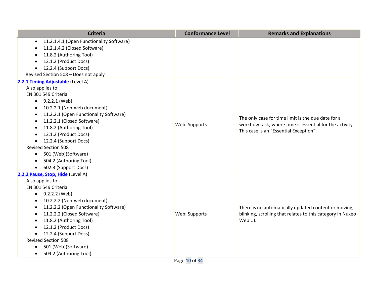| <b>Criteria</b>                                       | <b>Conformance Level</b> | <b>Remarks and Explanations</b>                            |
|-------------------------------------------------------|--------------------------|------------------------------------------------------------|
| 11.2.1.4.1 (Open Functionality Software)<br>$\bullet$ |                          |                                                            |
| 11.2.1.4.2 (Closed Software)                          |                          |                                                            |
| 11.8.2 (Authoring Tool)                               |                          |                                                            |
| 12.1.2 (Product Docs)                                 |                          |                                                            |
| 12.2.4 (Support Docs)                                 |                          |                                                            |
| Revised Section 508 - Does not apply                  |                          |                                                            |
| 2.2.1 Timing Adjustable (Level A)                     |                          |                                                            |
| Also applies to:                                      |                          |                                                            |
| EN 301 549 Criteria                                   |                          |                                                            |
| $\bullet$ 9.2.2.1 (Web)                               |                          |                                                            |
| 10.2.2.1 (Non-web document)<br>$\bullet$              |                          |                                                            |
| 11.2.2.1 (Open Functionality Software)<br>$\bullet$   |                          | The only case for time limit is the due date for a         |
| 11.2.2.1 (Closed Software)<br>$\bullet$               | Web: Supports            | workflow task, where time is essential for the activity.   |
| 11.8.2 (Authoring Tool)<br>$\bullet$                  |                          | This case is an "Essential Exception".                     |
| 12.1.2 (Product Docs)<br>$\bullet$                    |                          |                                                            |
| 12.2.4 (Support Docs)<br>$\bullet$                    |                          |                                                            |
| <b>Revised Section 508</b>                            |                          |                                                            |
| 501 (Web)(Software)<br>$\bullet$                      |                          |                                                            |
| 504.2 (Authoring Tool)<br>$\bullet$                   |                          |                                                            |
| 602.3 (Support Docs)<br>$\bullet$                     |                          |                                                            |
| 2.2.2 Pause, Stop, Hide (Level A)                     |                          |                                                            |
| Also applies to:                                      |                          |                                                            |
| EN 301 549 Criteria                                   |                          |                                                            |
| 9.2.2.2 (Web)<br>$\bullet$                            |                          |                                                            |
| 10.2.2.2 (Non-web document)<br>$\bullet$              |                          |                                                            |
| 11.2.2.2 (Open Functionality Software)<br>$\bullet$   |                          | There is no automatically updated content or moving,       |
| 11.2.2.2 (Closed Software)<br>$\bullet$               | Web: Supports            | blinking, scrolling that relates to this category in Nuxeo |
| 11.8.2 (Authoring Tool)<br>$\bullet$                  |                          | Web UI.                                                    |
| 12.1.2 (Product Docs)                                 |                          |                                                            |
| 12.2.4 (Support Docs)<br>$\bullet$                    |                          |                                                            |
| <b>Revised Section 508</b>                            |                          |                                                            |
| 501 (Web)(Software)<br>$\bullet$                      |                          |                                                            |
| 504.2 (Authoring Tool)<br>$\bullet$                   |                          |                                                            |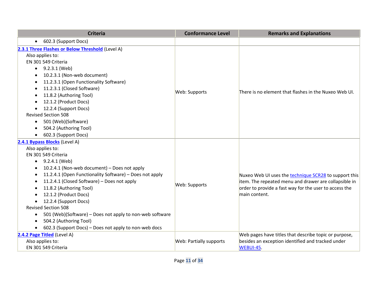| <b>Criteria</b>                                                       | <b>Conformance Level</b> | <b>Remarks and Explanations</b>                        |
|-----------------------------------------------------------------------|--------------------------|--------------------------------------------------------|
| 602.3 (Support Docs)<br>$\bullet$                                     |                          |                                                        |
| 2.3.1 Three Flashes or Below Threshold (Level A)                      |                          |                                                        |
| Also applies to:                                                      |                          |                                                        |
| EN 301 549 Criteria                                                   |                          |                                                        |
| 9.2.3.1 (Web)<br>$\bullet$                                            |                          |                                                        |
| 10.2.3.1 (Non-web document)<br>$\bullet$                              |                          |                                                        |
| 11.2.3.1 (Open Functionality Software)<br>$\bullet$                   |                          |                                                        |
| 11.2.3.1 (Closed Software)<br>$\bullet$                               |                          |                                                        |
| 11.8.2 (Authoring Tool)<br>$\bullet$                                  | Web: Supports            | There is no element that flashes in the Nuxeo Web UI.  |
| 12.1.2 (Product Docs)<br>$\bullet$                                    |                          |                                                        |
| 12.2.4 (Support Docs)<br>$\bullet$                                    |                          |                                                        |
| <b>Revised Section 508</b>                                            |                          |                                                        |
| 501 (Web)(Software)<br>$\bullet$                                      |                          |                                                        |
| 504.2 (Authoring Tool)<br>$\bullet$                                   |                          |                                                        |
| 602.3 (Support Docs)<br>$\bullet$                                     |                          |                                                        |
| 2.4.1 Bypass Blocks (Level A)                                         |                          |                                                        |
| Also applies to:                                                      |                          |                                                        |
| EN 301 549 Criteria                                                   |                          |                                                        |
| $\bullet$ 9.2.4.1 (Web)                                               |                          |                                                        |
| 10.2.4.1 (Non-web document) - Does not apply<br>$\bullet$             |                          |                                                        |
| 11.2.4.1 (Open Functionality Software) - Does not apply<br>$\bullet$  |                          | Nuxeo Web UI uses the technique SCR28 to support this  |
| 11.2.4.1 (Closed Software) - Does not apply<br>$\bullet$              | Web: Supports            | item. The repeated menu and drawer are collapsible in  |
| 11.8.2 (Authoring Tool)<br>$\bullet$                                  |                          | order to provide a fast way for the user to access the |
| 12.1.2 (Product Docs)<br>$\bullet$                                    |                          | main content.                                          |
| 12.2.4 (Support Docs)<br>$\bullet$                                    |                          |                                                        |
| <b>Revised Section 508</b>                                            |                          |                                                        |
| 501 (Web)(Software) - Does not apply to non-web software<br>$\bullet$ |                          |                                                        |
| 504.2 (Authoring Tool)<br>$\bullet$                                   |                          |                                                        |
| 602.3 (Support Docs) - Does not apply to non-web docs<br>$\bullet$    |                          |                                                        |
| 2.4.2 Page Titled (Level A)                                           |                          | Web pages have titles that describe topic or purpose,  |
| Also applies to:                                                      | Web: Partially supports  | besides an exception identified and tracked under      |
| EN 301 549 Criteria                                                   |                          | WEBUI-45.                                              |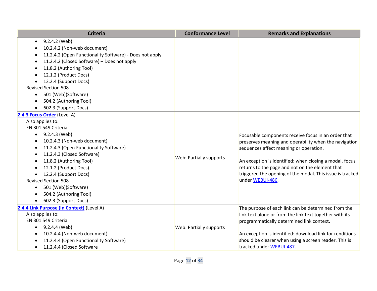| <b>Criteria</b>                                                                                                                                                                                                                                                                                                                                                                                                                | <b>Conformance Level</b>       | <b>Remarks and Explanations</b>                                                                                                                                                                                                                                                                                                                       |
|--------------------------------------------------------------------------------------------------------------------------------------------------------------------------------------------------------------------------------------------------------------------------------------------------------------------------------------------------------------------------------------------------------------------------------|--------------------------------|-------------------------------------------------------------------------------------------------------------------------------------------------------------------------------------------------------------------------------------------------------------------------------------------------------------------------------------------------------|
| 9.2.4.2 (Web)<br>$\bullet$<br>10.2.4.2 (Non-web document)<br>11.2.4.2 (Open Functionality Software) - Does not apply<br>11.2.4.2 (Closed Software) - Does not apply<br>11.8.2 (Authoring Tool)<br>12.1.2 (Product Docs)<br>12.2.4 (Support Docs)<br><b>Revised Section 508</b><br>501 (Web)(Software)<br>$\bullet$<br>504.2 (Authoring Tool)<br>$\bullet$<br>602.3 (Support Docs)                                              |                                |                                                                                                                                                                                                                                                                                                                                                       |
| 2.4.3 Focus Order (Level A)<br>Also applies to:<br>EN 301 549 Criteria<br>9.2.4.3 (Web)<br>$\bullet$<br>10.2.4.3 (Non-web document)<br>11.2.4.3 (Open Functionality Software)<br>٠<br>11.2.4.3 (Closed Software)<br>$\bullet$<br>11.8.2 (Authoring Tool)<br>12.1.2 (Product Docs)<br>12.2.4 (Support Docs)<br><b>Revised Section 508</b><br>501 (Web)(Software)<br>$\bullet$<br>504.2 (Authoring Tool)<br>602.3 (Support Docs) | <b>Web: Partially supports</b> | Focusable components receive focus in an order that<br>preserves meaning and operability when the navigation<br>sequences affect meaning or operation.<br>An exception is identified: when closing a modal, focus<br>returns to the page and not on the element that<br>triggered the opening of the modal. This issue is tracked<br>under WEBUI-486. |
| 2.4.4 Link Purpose (In Context) (Level A)<br>Also applies to:<br>EN 301 549 Criteria<br>9.2.4.4 (Web)<br>10.2.4.4 (Non-web document)<br>11.2.4.4 (Open Functionality Software)<br>$\bullet$<br>11.2.4.4 (Closed Software<br>$\bullet$                                                                                                                                                                                          | <b>Web: Partially supports</b> | The purpose of each link can be determined from the<br>link text alone or from the link text together with its<br>programmatically determined link context.<br>An exception is identified: download link for renditions<br>should be clearer when using a screen reader. This is<br>tracked under WEBUI-487.                                          |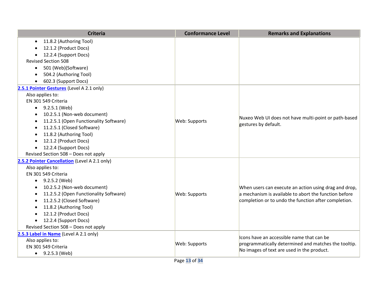| <b>Criteria</b>                                     | <b>Conformance Level</b> | <b>Remarks and Explanations</b>                       |
|-----------------------------------------------------|--------------------------|-------------------------------------------------------|
| 11.8.2 (Authoring Tool)<br>$\bullet$                |                          |                                                       |
| 12.1.2 (Product Docs)                               |                          |                                                       |
| 12.2.4 (Support Docs)                               |                          |                                                       |
| <b>Revised Section 508</b>                          |                          |                                                       |
| 501 (Web)(Software)<br>$\bullet$                    |                          |                                                       |
| 504.2 (Authoring Tool)                              |                          |                                                       |
| 602.3 (Support Docs)                                |                          |                                                       |
| 2.5.1 Pointer Gestures (Level A 2.1 only)           |                          |                                                       |
| Also applies to:                                    |                          |                                                       |
| EN 301 549 Criteria                                 |                          |                                                       |
| $\bullet$ 9.2.5.1 (Web)                             |                          |                                                       |
| 10.2.5.1 (Non-web document)<br>$\bullet$            |                          | Nuxeo Web UI does not have multi-point or path-based  |
| 11.2.5.1 (Open Functionality Software)<br>$\bullet$ | Web: Supports            | gestures by default.                                  |
| 11.2.5.1 (Closed Software)<br>٠                     |                          |                                                       |
| 11.8.2 (Authoring Tool)<br>$\bullet$                |                          |                                                       |
| 12.1.2 (Product Docs)<br>$\bullet$                  |                          |                                                       |
| 12.2.4 (Support Docs)<br>$\bullet$                  |                          |                                                       |
| Revised Section 508 - Does not apply                |                          |                                                       |
| 2.5.2 Pointer Cancellation (Level A 2.1 only)       |                          |                                                       |
| Also applies to:                                    |                          |                                                       |
| EN 301 549 Criteria                                 |                          |                                                       |
| 9.2.5.2 (Web)<br>$\bullet$                          |                          |                                                       |
| 10.2.5.2 (Non-web document)<br>$\bullet$            |                          | When users can execute an action using drag and drop, |
| 11.2.5.2 (Open Functionality Software)              | Web: Supports            | a mechanism is available to abort the function before |
| 11.2.5.2 (Closed Software)                          |                          | completion or to undo the function after completion.  |
| 11.8.2 (Authoring Tool)<br>$\bullet$                |                          |                                                       |
| 12.1.2 (Product Docs)<br>$\bullet$                  |                          |                                                       |
| 12.2.4 (Support Docs)<br>$\bullet$                  |                          |                                                       |
| Revised Section 508 - Does not apply                |                          |                                                       |
| 2.5.3 Label in Name (Level A 2.1 only)              |                          | Icons have an accessible name that can be             |
| Also applies to:                                    | Web: Supports            | programmatically determined and matches the tooltip.  |
| EN 301 549 Criteria                                 |                          | No images of text are used in the product.            |
| • $9.2.5.3$ (Web)                                   |                          |                                                       |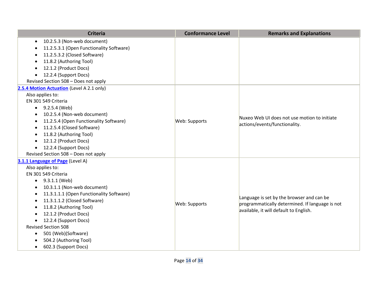| <b>Criteria</b>                                       | <b>Conformance Level</b> | <b>Remarks and Explanations</b>                 |
|-------------------------------------------------------|--------------------------|-------------------------------------------------|
| 10.2.5.3 (Non-web document)<br>$\bullet$              |                          |                                                 |
| 11.2.5.3.1 (Open Functionality Software)<br>$\bullet$ |                          |                                                 |
| 11.2.5.3.2 (Closed Software)<br>$\bullet$             |                          |                                                 |
| 11.8.2 (Authoring Tool)<br>٠                          |                          |                                                 |
| 12.1.2 (Product Docs)<br>$\bullet$                    |                          |                                                 |
| 12.2.4 (Support Docs)<br>$\bullet$                    |                          |                                                 |
| Revised Section 508 - Does not apply                  |                          |                                                 |
| 2.5.4 Motion Actuation (Level A 2.1 only)             |                          |                                                 |
| Also applies to:                                      |                          |                                                 |
| EN 301 549 Criteria                                   |                          |                                                 |
| $\bullet$ 9.2.5.4 (Web)                               |                          |                                                 |
| 10.2.5.4 (Non-web document)                           |                          | Nuxeo Web UI does not use motion to initiate    |
| 11.2.5.4 (Open Functionality Software)<br>٠           | Web: Supports            | actions/events/functionality.                   |
| 11.2.5.4 (Closed Software)<br>$\bullet$               |                          |                                                 |
| 11.8.2 (Authoring Tool)<br>$\bullet$                  |                          |                                                 |
| 12.1.2 (Product Docs)<br>$\bullet$                    |                          |                                                 |
| 12.2.4 (Support Docs)<br>$\bullet$                    |                          |                                                 |
| Revised Section 508 - Does not apply                  |                          |                                                 |
| 3.1.1 Language of Page (Level A)                      |                          |                                                 |
| Also applies to:                                      |                          |                                                 |
| EN 301 549 Criteria                                   |                          |                                                 |
| 9.3.1.1 (Web)<br>$\bullet$                            |                          |                                                 |
| 10.3.1.1 (Non-web document)<br>$\bullet$              |                          |                                                 |
| 11.3.1.1.1 (Open Functionality Software)<br>$\bullet$ |                          | Language is set by the browser and can be       |
| 11.3.1.1.2 (Closed Software)<br>$\bullet$             | Web: Supports            | programmatically determined. If language is not |
| 11.8.2 (Authoring Tool)<br>٠                          |                          | available, it will default to English.          |
| 12.1.2 (Product Docs)<br>$\bullet$                    |                          |                                                 |
| 12.2.4 (Support Docs)<br>$\bullet$                    |                          |                                                 |
| <b>Revised Section 508</b>                            |                          |                                                 |
| 501 (Web)(Software)<br>$\bullet$                      |                          |                                                 |
| 504.2 (Authoring Tool)<br>$\bullet$                   |                          |                                                 |
| 602.3 (Support Docs)<br>$\bullet$                     |                          |                                                 |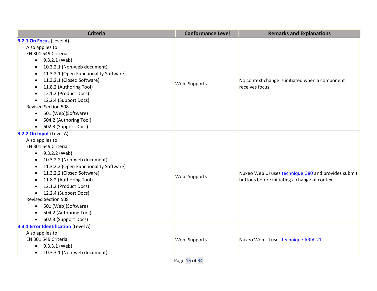| <b>Criteria</b>                                     | <b>Conformance Level</b> | <b>Remarks and Explanations</b>                     |
|-----------------------------------------------------|--------------------------|-----------------------------------------------------|
| 3.2.1 On Focus (Level A)                            |                          |                                                     |
| Also applies to:                                    |                          |                                                     |
| EN 301 549 Criteria                                 |                          |                                                     |
| 9.3.2.1 (Web)<br>$\bullet$                          |                          |                                                     |
| 10.3.2.1 (Non-web document)<br>$\bullet$            |                          |                                                     |
| 11.3.2.1 (Open Functionality Software)<br>$\bullet$ |                          |                                                     |
| 11.3.2.1 (Closed Software)<br>$\bullet$             | Web: Supports            | No context change is initiated when a component     |
| 11.8.2 (Authoring Tool)<br>$\bullet$                |                          | receives focus.                                     |
| 12.1.2 (Product Docs)                               |                          |                                                     |
| 12.2.4 (Support Docs)<br>$\bullet$                  |                          |                                                     |
| <b>Revised Section 508</b>                          |                          |                                                     |
| 501 (Web)(Software)<br>$\bullet$                    |                          |                                                     |
| 504.2 (Authoring Tool)<br>$\bullet$                 |                          |                                                     |
| 602.3 (Support Docs)<br>$\bullet$                   |                          |                                                     |
| 3.2.2 On Input (Level A)                            |                          |                                                     |
| Also applies to:                                    |                          |                                                     |
| EN 301 549 Criteria                                 |                          |                                                     |
| $\bullet$ 9.3.2.2 (Web)                             |                          |                                                     |
| 10.3.2.2 (Non-web document)<br>$\bullet$            |                          |                                                     |
| 11.3.2.2 (Open Functionality Software)<br>$\bullet$ |                          | Nuxeo Web UI uses technique G80 and provides submit |
| 11.3.2.2 (Closed Software)<br>$\bullet$             | Web: Supports            |                                                     |
| 11.8.2 (Authoring Tool)<br>$\bullet$                |                          | buttons before initiating a change of context.      |
| 12.1.2 (Product Docs)                               |                          |                                                     |
| 12.2.4 (Support Docs)<br>$\bullet$                  |                          |                                                     |
| <b>Revised Section 508</b>                          |                          |                                                     |
| 501 (Web)(Software)<br>$\bullet$                    |                          |                                                     |
| 504.2 (Authoring Tool)<br>$\bullet$                 |                          |                                                     |
| 602.3 (Support Docs)<br>$\bullet$                   |                          |                                                     |
| 3.3.1 Error Identification (Level A)                |                          |                                                     |
| Also applies to:                                    |                          |                                                     |
| EN 301 549 Criteria                                 | Web: Supports            | Nuxeo Web UI uses technique ARIA-21.                |
| 9.3.3.1 (Web)<br>$\bullet$                          |                          |                                                     |
| 10.3.3.1 (Non-web document)<br>$\bullet$            |                          |                                                     |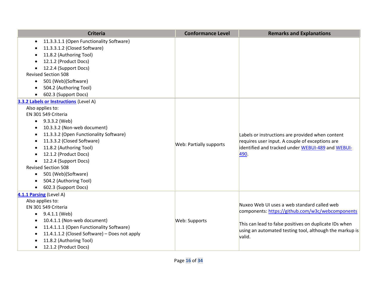| <b>Criteria</b>                                       | <b>Conformance Level</b>       | <b>Remarks and Explanations</b>                                                                                                                          |
|-------------------------------------------------------|--------------------------------|----------------------------------------------------------------------------------------------------------------------------------------------------------|
| 11.3.3.1.1 (Open Functionality Software)<br>$\bullet$ |                                |                                                                                                                                                          |
| 11.3.3.1.2 (Closed Software)                          |                                |                                                                                                                                                          |
| 11.8.2 (Authoring Tool)                               |                                |                                                                                                                                                          |
| 12.1.2 (Product Docs)                                 |                                |                                                                                                                                                          |
| 12.2.4 (Support Docs)<br>$\bullet$                    |                                |                                                                                                                                                          |
| <b>Revised Section 508</b>                            |                                |                                                                                                                                                          |
| 501 (Web)(Software)<br>$\bullet$                      |                                |                                                                                                                                                          |
| 504.2 (Authoring Tool)<br>$\bullet$                   |                                |                                                                                                                                                          |
| 602.3 (Support Docs)<br>$\bullet$                     |                                |                                                                                                                                                          |
| 3.3.2 Labels or Instructions (Level A)                |                                |                                                                                                                                                          |
| Also applies to:                                      |                                |                                                                                                                                                          |
| EN 301 549 Criteria                                   |                                |                                                                                                                                                          |
| 9.3.3.2 (Web)<br>$\bullet$                            |                                |                                                                                                                                                          |
| 10.3.3.2 (Non-web document)<br>$\bullet$              |                                | Labels or instructions are provided when content<br>requires user input. A couple of exceptions are<br>identified and tracked under WEBUI-489 and WEBUI- |
| 11.3.3.2 (Open Functionality Software)<br>٠           |                                |                                                                                                                                                          |
| 11.3.3.2 (Closed Software)<br>$\bullet$               | <b>Web: Partially supports</b> |                                                                                                                                                          |
| 11.8.2 (Authoring Tool)<br>٠                          |                                |                                                                                                                                                          |
| 12.1.2 (Product Docs)<br>$\bullet$                    |                                | 490.                                                                                                                                                     |
| 12.2.4 (Support Docs)<br>$\bullet$                    |                                |                                                                                                                                                          |
| <b>Revised Section 508</b>                            |                                |                                                                                                                                                          |
| 501 (Web)(Software)<br>$\bullet$                      |                                |                                                                                                                                                          |
| 504.2 (Authoring Tool)<br>$\bullet$                   |                                |                                                                                                                                                          |
| 602.3 (Support Docs)<br>$\bullet$                     |                                |                                                                                                                                                          |
| 4.1.1 Parsing (Level A)                               |                                |                                                                                                                                                          |
| Also applies to:                                      |                                | Nuxeo Web UI uses a web standard called web                                                                                                              |
| EN 301 549 Criteria                                   |                                | components: https://github.com/w3c/webcomponents                                                                                                         |
| 9.4.1.1 (Web)<br>$\bullet$                            | Web: Supports                  |                                                                                                                                                          |
| 10.4.1.1 (Non-web document)<br>$\bullet$              |                                | This can lead to false positives on duplicate IDs when<br>using an automated testing tool, although the markup is                                        |
| 11.4.1.1.1 (Open Functionality Software)<br>٠         |                                |                                                                                                                                                          |
| 11.4.1.1.2 (Closed Software) - Does not apply<br>٠    |                                | valid.                                                                                                                                                   |
| 11.8.2 (Authoring Tool)<br>$\bullet$                  |                                |                                                                                                                                                          |
| 12.1.2 (Product Docs)<br>$\bullet$                    |                                |                                                                                                                                                          |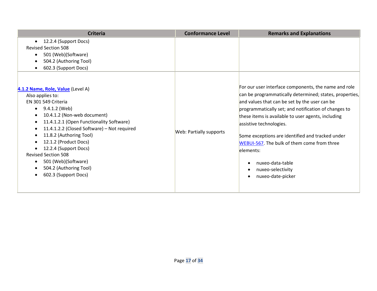| <b>Criteria</b>                                                                                                                                                                                                                                                                                                                                                                                                                                                                   | <b>Conformance Level</b>       | <b>Remarks and Explanations</b>                                                                                                                                                                                                                                                                                                                                                                                                                                                                                   |
|-----------------------------------------------------------------------------------------------------------------------------------------------------------------------------------------------------------------------------------------------------------------------------------------------------------------------------------------------------------------------------------------------------------------------------------------------------------------------------------|--------------------------------|-------------------------------------------------------------------------------------------------------------------------------------------------------------------------------------------------------------------------------------------------------------------------------------------------------------------------------------------------------------------------------------------------------------------------------------------------------------------------------------------------------------------|
| 12.2.4 (Support Docs)<br>$\bullet$<br><b>Revised Section 508</b><br>501 (Web)(Software)<br>$\bullet$<br>504.2 (Authoring Tool)<br>$\bullet$<br>602.3 (Support Docs)<br>٠                                                                                                                                                                                                                                                                                                          |                                |                                                                                                                                                                                                                                                                                                                                                                                                                                                                                                                   |
| 4.1.2 Name, Role, Value (Level A)<br>Also applies to:<br>EN 301 549 Criteria<br>9.4.1.2 (Web)<br>10.4.1.2 (Non-web document)<br>$\bullet$<br>11.4.1.2.1 (Open Functionality Software)<br>$\bullet$<br>11.4.1.2.2 (Closed Software) - Not required<br>$\bullet$<br>11.8.2 (Authoring Tool)<br>٠<br>12.1.2 (Product Docs)<br>12.2.4 (Support Docs)<br><b>Revised Section 508</b><br>501 (Web)(Software)<br>$\bullet$<br>504.2 (Authoring Tool)<br>$\bullet$<br>602.3 (Support Docs) | <b>Web: Partially supports</b> | For our user interface components, the name and role<br>can be programmatically determined; states, properties,<br>and values that can be set by the user can be<br>programmatically set; and notification of changes to<br>these items is available to user agents, including<br>assistive technologies.<br>Some exceptions are identified and tracked under<br>WEBUI-567. The bulk of them come from three<br>elements:<br>nuxeo-data-table<br>$\bullet$<br>nuxeo-selectivity<br>$\bullet$<br>nuxeo-date-picker |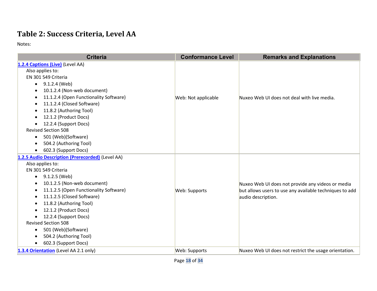# **Table 2: Success Criteria, Level AA**

| <b>Criteria</b>                                     | <b>Conformance Level</b> | <b>Remarks and Explanations</b>                         |
|-----------------------------------------------------|--------------------------|---------------------------------------------------------|
| 1.2.4 Captions (Live) (Level AA)                    |                          |                                                         |
| Also applies to:                                    |                          |                                                         |
| EN 301 549 Criteria                                 |                          |                                                         |
| $\bullet$ 9.1.2.4 (Web)                             |                          |                                                         |
| 10.1.2.4 (Non-web document)                         |                          |                                                         |
| 11.1.2.4 (Open Functionality Software)<br>$\bullet$ | Web: Not applicable      | Nuxeo Web UI does not deal with live media.             |
| 11.1.2.4 (Closed Software)                          |                          |                                                         |
| 11.8.2 (Authoring Tool)<br>$\bullet$                |                          |                                                         |
| 12.1.2 (Product Docs)                               |                          |                                                         |
| 12.2.4 (Support Docs)<br>$\bullet$                  |                          |                                                         |
| <b>Revised Section 508</b>                          |                          |                                                         |
| 501 (Web)(Software)<br>$\bullet$                    |                          |                                                         |
| 504.2 (Authoring Tool)                              |                          |                                                         |
| 602.3 (Support Docs)<br>$\bullet$                   |                          |                                                         |
| 1.2.5 Audio Description (Prerecorded) (Level AA)    |                          |                                                         |
| Also applies to:                                    |                          |                                                         |
| EN 301 549 Criteria                                 |                          |                                                         |
| 9.1.2.5 (Web)<br>٠                                  |                          |                                                         |
| 10.1.2.5 (Non-web document)                         |                          | Nuxeo Web UI does not provide any videos or media       |
| 11.1.2.5 (Open Functionality Software)              | Web: Supports            | but allows users to use any available techniques to add |
| 11.1.2.5 (Closed Software)<br>٠                     |                          | audio description.                                      |
| 11.8.2 (Authoring Tool)                             |                          |                                                         |
| 12.1.2 (Product Docs)                               |                          |                                                         |
| 12.2.4 (Support Docs)                               |                          |                                                         |
| <b>Revised Section 508</b>                          |                          |                                                         |
| 501 (Web)(Software)                                 |                          |                                                         |
| 504.2 (Authoring Tool)                              |                          |                                                         |
| 602.3 (Support Docs)                                |                          |                                                         |
| 1.3.4 Orientation (Level AA 2.1 only)               | Web: Supports            | Nuxeo Web UI does not restrict the usage orientation.   |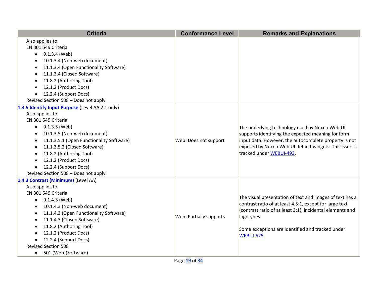| <b>Criteria</b>                                                                                                                                                                                                                                                                                                                                                                     | <b>Conformance Level</b>       | <b>Remarks and Explanations</b>                                                                                                                                                                                                                                  |
|-------------------------------------------------------------------------------------------------------------------------------------------------------------------------------------------------------------------------------------------------------------------------------------------------------------------------------------------------------------------------------------|--------------------------------|------------------------------------------------------------------------------------------------------------------------------------------------------------------------------------------------------------------------------------------------------------------|
| Also applies to:<br>EN 301 549 Criteria<br>9.1.3.4 (Web)<br>$\bullet$<br>10.1.3.4 (Non-web document)<br>$\bullet$<br>11.1.3.4 (Open Functionality Software)<br>11.1.3.4 (Closed Software)<br>11.8.2 (Authoring Tool)<br>12.1.2 (Product Docs)<br>12.2.4 (Support Docs)<br>$\bullet$<br>Revised Section 508 - Does not apply                                                         |                                |                                                                                                                                                                                                                                                                  |
| 1.3.5 Identify Input Purpose (Level AA 2.1 only)<br>Also applies to:<br>EN 301 549 Criteria<br>9.1.3.5 (Web)<br>$\bullet$<br>10.1.3.5 (Non-web document)<br>11.1.3.5.1 (Open Functionality Software)<br>$\bullet$<br>11.1.3.5.2 (Closed Software)<br>11.8.2 (Authoring Tool)<br>12.1.2 (Product Docs)<br>12.2.4 (Support Docs)<br>$\bullet$<br>Revised Section 508 - Does not apply | Web: Does not support          | The underlying technology used by Nuxeo Web UI<br>supports identifying the expected meaning for form<br>input data. However, the autocomplete property is not<br>exposed by Nuxeo Web UI default widgets. This issue is<br>tracked under WEBUI-493.              |
| 1.4.3 Contrast (Minimum) (Level AA)<br>Also applies to:<br>EN 301 549 Criteria<br>9.1.4.3 (Web)<br>$\bullet$<br>10.1.4.3 (Non-web document)<br>11.1.4.3 (Open Functionality Software)<br>11.1.4.3 (Closed Software)<br>11.8.2 (Authoring Tool)<br>$\bullet$<br>12.1.2 (Product Docs)<br>12.2.4 (Support Docs)<br><b>Revised Section 508</b><br>501 (Web)(Software)<br>$\bullet$     | <b>Web: Partially supports</b> | The visual presentation of text and images of text has a<br>contrast ratio of at least 4.5:1, except for large text<br>(contrast ratio of at least 3:1), incidental elements and<br>logotypes.<br>Some exceptions are identified and tracked under<br>WEBUI-525. |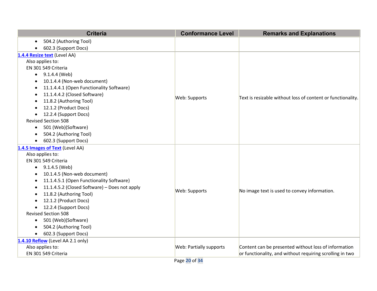| <b>Criteria</b>                                            | <b>Conformance Level</b>       | <b>Remarks and Explanations</b>                             |
|------------------------------------------------------------|--------------------------------|-------------------------------------------------------------|
| 504.2 (Authoring Tool)<br>$\bullet$                        |                                |                                                             |
| 602.3 (Support Docs)<br>$\bullet$                          |                                |                                                             |
| 1.4.4 Resize text (Level AA)                               |                                |                                                             |
| Also applies to:                                           |                                |                                                             |
| EN 301 549 Criteria                                        |                                |                                                             |
| $\bullet$ 9.1.4.4 (Web)                                    |                                |                                                             |
| 10.1.4.4 (Non-web document)<br>$\bullet$                   |                                |                                                             |
| 11.1.4.4.1 (Open Functionality Software)<br>$\bullet$      |                                |                                                             |
| 11.1.4.4.2 (Closed Software)<br>$\bullet$                  | Web: Supports                  |                                                             |
| 11.8.2 (Authoring Tool)<br>$\bullet$                       |                                | Text is resizable without loss of content or functionality. |
| 12.1.2 (Product Docs)<br>$\bullet$                         |                                |                                                             |
| 12.2.4 (Support Docs)                                      |                                |                                                             |
| <b>Revised Section 508</b>                                 |                                |                                                             |
| 501 (Web)(Software)<br>$\bullet$                           |                                |                                                             |
| 504.2 (Authoring Tool)<br>$\bullet$                        |                                |                                                             |
| 602.3 (Support Docs)<br>$\bullet$                          |                                |                                                             |
| 1.4.5 Images of Text (Level AA)                            |                                |                                                             |
| Also applies to:                                           |                                |                                                             |
| EN 301 549 Criteria                                        |                                |                                                             |
| 9.1.4.5 (Web)<br>$\bullet$                                 |                                |                                                             |
| 10.1.4.5 (Non-web document)<br>$\bullet$                   |                                |                                                             |
| 11.1.4.5.1 (Open Functionality Software)<br>$\bullet$      |                                |                                                             |
| 11.1.4.5.2 (Closed Software) - Does not apply<br>$\bullet$ | Web: Supports                  | No image text is used to convey information.                |
| 11.8.2 (Authoring Tool)<br>$\bullet$                       |                                |                                                             |
| 12.1.2 (Product Docs)                                      |                                |                                                             |
| 12.2.4 (Support Docs)                                      |                                |                                                             |
| <b>Revised Section 508</b>                                 |                                |                                                             |
| 501 (Web)(Software)<br>$\bullet$                           |                                |                                                             |
| 504.2 (Authoring Tool)<br>$\bullet$                        |                                |                                                             |
| 602.3 (Support Docs)<br>$\bullet$                          |                                |                                                             |
| 1.4.10 Reflow (Level AA 2.1 only)                          |                                |                                                             |
| Also applies to:                                           | <b>Web: Partially supports</b> | Content can be presented without loss of information        |
| EN 301 549 Criteria                                        |                                | or functionality, and without requiring scrolling in two    |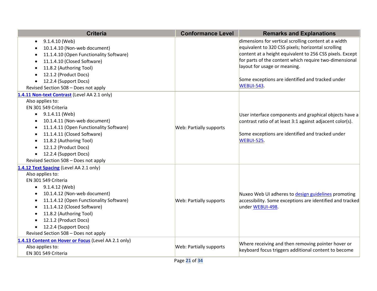| <b>Criteria</b>                                                                                                                                                                                                                                                                                                                                       | <b>Conformance Level</b>       | <b>Remarks and Explanations</b>                                                                                                                                                                                                                                                                                                    |
|-------------------------------------------------------------------------------------------------------------------------------------------------------------------------------------------------------------------------------------------------------------------------------------------------------------------------------------------------------|--------------------------------|------------------------------------------------------------------------------------------------------------------------------------------------------------------------------------------------------------------------------------------------------------------------------------------------------------------------------------|
| 9.1.4.10 (Web)<br>10.1.4.10 (Non-web document)<br>11.1.4.10 (Open Functionality Software)<br>11.1.4.10 (Closed Software)<br>11.8.2 (Authoring Tool)<br>12.1.2 (Product Docs)<br>12.2.4 (Support Docs)<br>Revised Section 508 - Does not apply                                                                                                         |                                | dimensions for vertical scrolling content at a width<br>equivalent to 320 CSS pixels; horizontal scrolling<br>content at a height equivalent to 256 CSS pixels. Except<br>for parts of the content which require two-dimensional<br>layout for usage or meaning.<br>Some exceptions are identified and tracked under<br>WEBUI-543. |
| 1.4.11 Non-text Contrast (Level AA 2.1 only)<br>Also applies to:<br>EN 301 549 Criteria<br>9.1.4.11 (Web)<br>$\bullet$<br>10.1.4.11 (Non-web document)<br>11.1.4.11 (Open Functionality Software)<br>11.1.4.11 (Closed Software)<br>11.8.2 (Authoring Tool)<br>12.1.2 (Product Docs)<br>12.2.4 (Support Docs)<br>Revised Section 508 - Does not apply | Web: Partially supports        | User interface components and graphical objects have a<br>contrast ratio of at least 3:1 against adjacent color(s).<br>Some exceptions are identified and tracked under<br>WEBUI-525.                                                                                                                                              |
| 1.4.12 Text Spacing (Level AA 2.1 only)<br>Also applies to:<br>EN 301 549 Criteria<br>9.1.4.12 (Web)<br>$\bullet$<br>10.1.4.12 (Non-web document)<br>11.1.4.12 (Open Functionality Software)<br>11.1.4.12 (Closed Software)<br>11.8.2 (Authoring Tool)<br>12.1.2 (Product Docs)<br>12.2.4 (Support Docs)<br>Revised Section 508 - Does not apply      | <b>Web: Partially supports</b> | Nuxeo Web UI adheres to design guidelines promoting<br>accessibility. Some exceptions are identified and tracked<br>under WEBUI-498.                                                                                                                                                                                               |
| 1.4.13 Content on Hover or Focus (Level AA 2.1 only)<br>Also applies to:<br>EN 301 549 Criteria                                                                                                                                                                                                                                                       | <b>Web: Partially supports</b> | Where receiving and then removing pointer hover or<br>keyboard focus triggers additional content to become                                                                                                                                                                                                                         |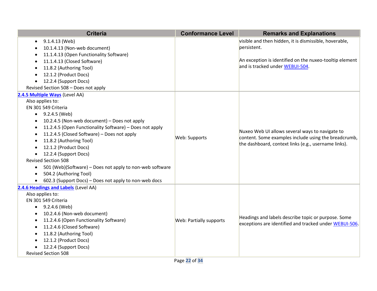| <b>Criteria</b>                                                                                                                                                                                                                                                                                                                                                                                                                                                                                                                                                                                                                     | <b>Conformance Level</b>       | <b>Remarks and Explanations</b>                                                                                                                                     |
|-------------------------------------------------------------------------------------------------------------------------------------------------------------------------------------------------------------------------------------------------------------------------------------------------------------------------------------------------------------------------------------------------------------------------------------------------------------------------------------------------------------------------------------------------------------------------------------------------------------------------------------|--------------------------------|---------------------------------------------------------------------------------------------------------------------------------------------------------------------|
| 9.1.4.13 (Web)<br>$\bullet$<br>10.1.4.13 (Non-web document)<br>$\bullet$<br>11.1.4.13 (Open Functionality Software)<br>11.1.4.13 (Closed Software)<br>٠<br>11.8.2 (Authoring Tool)<br>12.1.2 (Product Docs)<br>12.2.4 (Support Docs)<br>$\bullet$<br>Revised Section 508 - Does not apply                                                                                                                                                                                                                                                                                                                                           |                                | visible and then hidden, it is dismissible, hoverable,<br>persistent.<br>An exception is identified on the nuxeo-tooltip element<br>and is tracked under WEBUI-504. |
| 2.4.5 Multiple Ways (Level AA)<br>Also applies to:<br>EN 301 549 Criteria<br>9.2.4.5 (Web)<br>$\bullet$<br>10.2.4.5 (Non-web document) - Does not apply<br>$\bullet$<br>11.2.4.5 (Open Functionality Software) - Does not apply<br>$\bullet$<br>11.2.4.5 (Closed Software) - Does not apply<br>$\bullet$<br>11.8.2 (Authoring Tool)<br>$\bullet$<br>12.1.2 (Product Docs)<br>12.2.4 (Support Docs)<br>$\bullet$<br><b>Revised Section 508</b><br>501 (Web)(Software) - Does not apply to non-web software<br>$\bullet$<br>504.2 (Authoring Tool)<br>$\bullet$<br>602.3 (Support Docs) - Does not apply to non-web docs<br>$\bullet$ | Web: Supports                  | Nuxeo Web UI allows several ways to navigate to<br>content. Some examples include using the breadcrumb,<br>the dashboard, context links (e.g., username links).     |
| 2.4.6 Headings and Labels (Level AA)<br>Also applies to:<br>EN 301 549 Criteria<br>9.2.4.6 (Web)<br>$\bullet$<br>10.2.4.6 (Non-web document)<br>$\bullet$<br>11.2.4.6 (Open Functionality Software)<br>$\bullet$<br>11.2.4.6 (Closed Software)<br>$\bullet$<br>11.8.2 (Authoring Tool)<br>12.1.2 (Product Docs)<br>12.2.4 (Support Docs)<br><b>Revised Section 508</b>                                                                                                                                                                                                                                                              | <b>Web: Partially supports</b> | Headings and labels describe topic or purpose. Some<br>exceptions are identified and tracked under WEBUI-506.                                                       |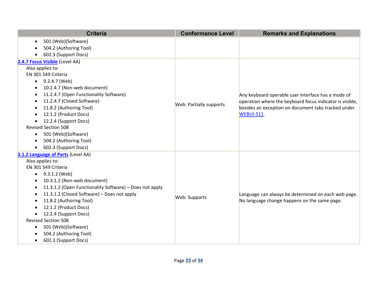| <b>Criteria</b>                                                      | <b>Conformance Level</b> | <b>Remarks and Explanations</b>                          |
|----------------------------------------------------------------------|--------------------------|----------------------------------------------------------|
| 501 (Web)(Software)<br>$\bullet$                                     |                          |                                                          |
| 504.2 (Authoring Tool)                                               |                          |                                                          |
| 602.3 (Support Docs)                                                 |                          |                                                          |
| 2.4.7 Focus Visible (Level AA)                                       |                          |                                                          |
| Also applies to:                                                     |                          |                                                          |
| EN 301 549 Criteria                                                  |                          |                                                          |
| 9.2.4.7 (Web)<br>$\bullet$                                           |                          |                                                          |
| 10.2.4.7 (Non-web document)<br>$\bullet$                             |                          |                                                          |
| 11.2.4.7 (Open Functionality Software)                               |                          | Any keyboard operable user interface has a mode of       |
| 11.2.4.7 (Closed Software)                                           |                          | operation where the keyboard focus indicator is visible, |
| 11.8.2 (Authoring Tool)<br>$\bullet$                                 | Web: Partially supports  | besides an exception on document tabs tracked under      |
| 12.1.2 (Product Docs)                                                |                          | <b>WEBUI-511.</b>                                        |
| 12.2.4 (Support Docs)                                                |                          |                                                          |
| <b>Revised Section 508</b>                                           |                          |                                                          |
| 501 (Web)(Software)<br>$\bullet$                                     |                          |                                                          |
| 504.2 (Authoring Tool)                                               |                          |                                                          |
| 602.3 (Support Docs)<br>$\bullet$                                    |                          |                                                          |
| 3.1.2 Language of Parts (Level AA)                                   |                          |                                                          |
| Also applies to:                                                     |                          |                                                          |
| EN 301 549 Criteria                                                  |                          |                                                          |
| 9.3.1.2 (Web)<br>$\bullet$                                           |                          |                                                          |
| 10.3.1.2 (Non-web document)                                          |                          |                                                          |
| 11.3.1.2 (Open Functionality Software) - Does not apply<br>$\bullet$ |                          |                                                          |
| 11.3.1.2 (Closed Software) - Does not apply<br>$\bullet$             | Web: Supports            | Language can always be determined on each web page.      |
| 11.8.2 (Authoring Tool)                                              |                          | No language change happens on the same page.             |
| 12.1.2 (Product Docs)                                                |                          |                                                          |
| 12.2.4 (Support Docs)<br>$\bullet$                                   |                          |                                                          |
| <b>Revised Section 508</b>                                           |                          |                                                          |
| 501 (Web)(Software)<br>$\bullet$                                     |                          |                                                          |
| 504.2 (Authoring Tool)                                               |                          |                                                          |
| 602.3 (Support Docs)<br>$\bullet$                                    |                          |                                                          |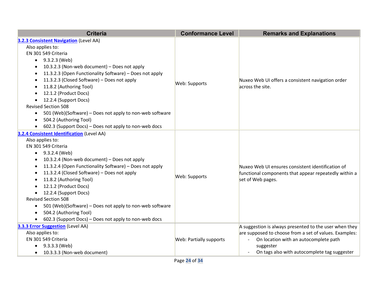| <b>Criteria</b>                                                       | <b>Conformance Level</b>       | <b>Remarks and Explanations</b>                          |
|-----------------------------------------------------------------------|--------------------------------|----------------------------------------------------------|
| <b>3.2.3 Consistent Navigation (Level AA)</b>                         |                                |                                                          |
| Also applies to:                                                      |                                |                                                          |
| EN 301 549 Criteria                                                   |                                | Nuxeo Web UI offers a consistent navigation order        |
| 9.3.2.3 (Web)<br>$\bullet$                                            |                                |                                                          |
| 10.3.2.3 (Non-web document) - Does not apply<br>$\bullet$             |                                |                                                          |
| 11.3.2.3 (Open Functionality Software) - Does not apply<br>$\bullet$  |                                |                                                          |
| 11.3.2.3 (Closed Software) - Does not apply                           |                                |                                                          |
| 11.8.2 (Authoring Tool)<br>٠                                          | Web: Supports                  | across the site.                                         |
| 12.1.2 (Product Docs)<br>$\bullet$                                    |                                |                                                          |
| 12.2.4 (Support Docs)<br>$\bullet$                                    |                                |                                                          |
| <b>Revised Section 508</b>                                            |                                |                                                          |
| 501 (Web)(Software) - Does not apply to non-web software<br>$\bullet$ |                                |                                                          |
| 504.2 (Authoring Tool)<br>$\bullet$                                   |                                |                                                          |
| 602.3 (Support Docs) - Does not apply to non-web docs<br>$\bullet$    |                                |                                                          |
| 3.2.4 Consistent Identification (Level AA)                            |                                |                                                          |
| Also applies to:                                                      |                                | Nuxeo Web UI ensures consistent identification of        |
| EN 301 549 Criteria                                                   |                                |                                                          |
| 9.3.2.4 (Web)<br>$\bullet$                                            |                                |                                                          |
| 10.3.2.4 (Non-web document) - Does not apply<br>٠                     |                                |                                                          |
| 11.3.2.4 (Open Functionality Software) - Does not apply<br>٠          | Web: Supports                  |                                                          |
| 11.3.2.4 (Closed Software) - Does not apply<br>$\bullet$              |                                | functional components that appear repeatedly within a    |
| 11.8.2 (Authoring Tool)<br>$\bullet$                                  |                                | set of Web pages.                                        |
| 12.1.2 (Product Docs)                                                 |                                |                                                          |
| 12.2.4 (Support Docs)                                                 |                                |                                                          |
| <b>Revised Section 508</b>                                            |                                |                                                          |
| 501 (Web)(Software) - Does not apply to non-web software<br>$\bullet$ |                                |                                                          |
| 504.2 (Authoring Tool)<br>$\bullet$                                   |                                |                                                          |
| 602.3 (Support Docs) - Does not apply to non-web docs<br>$\bullet$    |                                |                                                          |
| 3.3.3 Error Suggestion (Level AA)                                     |                                | A suggestion is always presented to the user when they   |
| Also applies to:                                                      |                                | are supposed to choose from a set of values. Examples:   |
| EN 301 549 Criteria                                                   | <b>Web: Partially supports</b> | On location with an autocomplete path<br>$\sim$ 10 $\pm$ |
| 9.3.3.3 (Web)<br>$\bullet$                                            |                                | suggester                                                |
| 10.3.3.3 (Non-web document)<br>$\bullet$                              |                                | On tags also with autocomplete tag suggester             |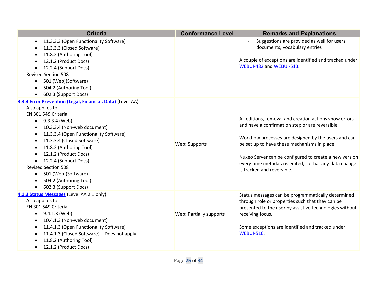| <b>Criteria</b>                                            | <b>Conformance Level</b> | <b>Remarks and Explanations</b>                         |
|------------------------------------------------------------|--------------------------|---------------------------------------------------------|
| 11.3.3.3 (Open Functionality Software)<br>$\bullet$        |                          | Suggestions are provided as well for users,             |
| 11.3.3.3 (Closed Software)<br>$\bullet$                    |                          | documents, vocabulary entries                           |
| 11.8.2 (Authoring Tool)<br>$\bullet$                       |                          |                                                         |
| 12.1.2 (Product Docs)<br>$\bullet$                         |                          | A couple of exceptions are identified and tracked under |
| 12.2.4 (Support Docs)<br>$\bullet$                         |                          | WEBUI-482 and WEBUI-513.                                |
| <b>Revised Section 508</b>                                 |                          |                                                         |
| 501 (Web)(Software)<br>$\bullet$                           |                          |                                                         |
| 504.2 (Authoring Tool)<br>$\bullet$                        |                          |                                                         |
| 602.3 (Support Docs)<br>$\bullet$                          |                          |                                                         |
| 3.3.4 Error Prevention (Legal, Financial, Data) (Level AA) |                          |                                                         |
| Also applies to:                                           |                          |                                                         |
| EN 301 549 Criteria                                        |                          |                                                         |
| 9.3.3.4 (Web)<br>$\bullet$                                 |                          | All editions, removal and creation actions show errors  |
| 10.3.3.4 (Non-web document)<br>$\bullet$                   |                          | and have a confirmation step or are reversible.         |
| 11.3.3.4 (Open Functionality Software)<br>$\bullet$        |                          | Workflow processes are designed by the users and can    |
| 11.3.3.4 (Closed Software)<br>٠                            | Web: Supports            | be set up to have these mechanisms in place.            |
| 11.8.2 (Authoring Tool)<br>$\bullet$                       |                          |                                                         |
| 12.1.2 (Product Docs)<br>$\bullet$                         |                          | Nuxeo Server can be configured to create a new version  |
| 12.2.4 (Support Docs)<br>$\bullet$                         |                          | every time metadata is edited, so that any data change  |
| <b>Revised Section 508</b>                                 |                          | is tracked and reversible.                              |
| 501 (Web)(Software)<br>$\bullet$                           |                          |                                                         |
| 504.2 (Authoring Tool)<br>$\bullet$                        |                          |                                                         |
| 602.3 (Support Docs)<br>$\bullet$                          |                          |                                                         |
| 4.1.3 Status Messages (Level AA 2.1 only)                  |                          | Status messages can be programmatically determined      |
| Also applies to:                                           |                          | through role or properties such that they can be        |
| EN 301 549 Criteria                                        |                          | presented to the user by assistive technologies without |
| 9.4.1.3 (Web)<br>$\bullet$                                 | Web: Partially supports  | receiving focus.                                        |
| 10.4.1.3 (Non-web document)<br>$\bullet$                   |                          |                                                         |
| 11.4.1.3 (Open Functionality Software)<br>$\bullet$        |                          | Some exceptions are identified and tracked under        |
| 11.4.1.3 (Closed Software) - Does not apply<br>٠           |                          | <b>WEBUI-516.</b>                                       |
| 11.8.2 (Authoring Tool)<br>$\bullet$                       |                          |                                                         |
| 12.1.2 (Product Docs)<br>$\bullet$                         |                          |                                                         |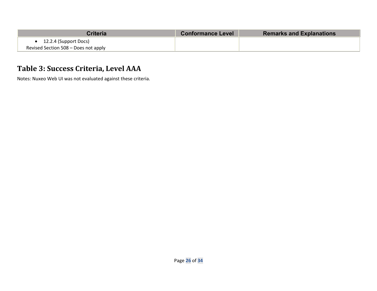| Criteria                             | <b>Conformance Level</b> | <b>Remarks and Explanations</b> |
|--------------------------------------|--------------------------|---------------------------------|
| 12.2.4 (Support Docs)                |                          |                                 |
| Revised Section 508 – Does not apply |                          |                                 |

## **Table 3: Success Criteria, Level AAA**

Notes: Nuxeo Web UI was not evaluated against these criteria.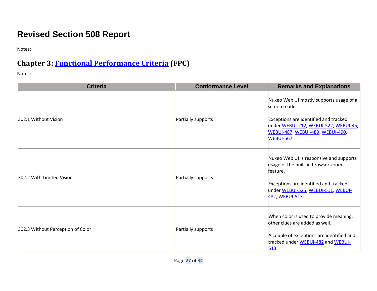# **Revised Section 508 Report**

Notes:

# **Chapter 3: [Functional Performance Criteria](https://www.access-board.gov/guidelines-and-standards/communications-and-it/about-the-ict-refresh/final-rule/text-of-the-standards-and-guidelines#302-functional-performance-criteria) (FPC)**

| <b>Criteria</b>                   | <b>Conformance Level</b> | <b>Remarks and Explanations</b>                                                                                                                                                                             |
|-----------------------------------|--------------------------|-------------------------------------------------------------------------------------------------------------------------------------------------------------------------------------------------------------|
| 302.1 Without Vision              | Partially supports       | Nuxeo Web UI mostly supports usage of a<br>screen reader.<br>Exceptions are identified and tracked<br>under WEBUI-212, WEBUI-522, WEBUI-45,<br><b>WEBUI-487, WEBUI-489, WEBUI-490,</b><br><b>WEBUI-567.</b> |
| 302.2 With Limited Vision         | Partially supports       | Nuxeo Web UI is responsive and supports<br>usage of the built-in browser zoom<br>feature.<br>Exceptions are identified and tracked<br>under WEBUI-525, WEBUI-511, WEBUI-<br>482, WEBUI-513                  |
| 302.3 Without Perception of Color | Partially supports       | When color is used to provide meaning,<br>other clues are added as well.<br>A couple of exceptions are identified and<br>tracked under WEBUI-482 and WEBUI-<br>513.                                         |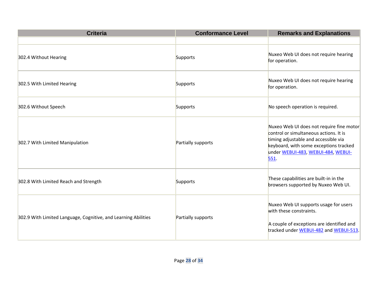| <b>Criteria</b>                                                | <b>Conformance Level</b> | <b>Remarks and Explanations</b>                                                                                                                                                                                    |
|----------------------------------------------------------------|--------------------------|--------------------------------------------------------------------------------------------------------------------------------------------------------------------------------------------------------------------|
|                                                                |                          |                                                                                                                                                                                                                    |
| 302.4 Without Hearing                                          | Supports                 | Nuxeo Web UI does not require hearing<br>for operation.                                                                                                                                                            |
| 302.5 With Limited Hearing                                     | Supports                 | Nuxeo Web UI does not require hearing<br>for operation.                                                                                                                                                            |
| 302.6 Without Speech                                           | Supports                 | No speech operation is required.                                                                                                                                                                                   |
| 302.7 With Limited Manipulation                                | Partially supports       | Nuxeo Web UI does not require fine motor<br>control or simultaneous actions. It is<br>timing adjustable and accessible via<br>keyboard, with some exceptions tracked<br>under WEBUI-483, WEBUI-484, WEBUI-<br>551. |
| 302.8 With Limited Reach and Strength                          | Supports                 | These capabilities are built-in in the<br>browsers supported by Nuxeo Web UI.                                                                                                                                      |
| 302.9 With Limited Language, Cognitive, and Learning Abilities | Partially supports       | Nuxeo Web UI supports usage for users<br>with these constraints.<br>A couple of exceptions are identified and<br>tracked under WEBUI-482 and WEBUI-513.                                                            |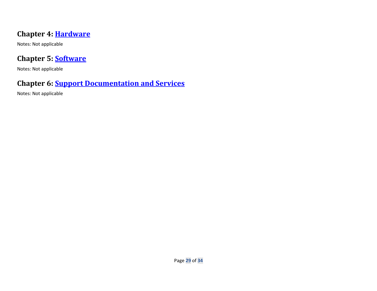### **Chapter 4: [Hardware](https://www.access-board.gov/guidelines-and-standards/communications-and-it/about-the-ict-refresh/final-rule/text-of-the-standards-and-guidelines#401-general)**

Notes: Not applicable

### **Chapter 5: [Software](https://www.access-board.gov/guidelines-and-standards/communications-and-it/about-the-ict-refresh/final-rule/text-of-the-standards-and-guidelines#501-general)**

Notes: Not applicable

### **Chapter 6: [Support Documentation and Services](https://www.access-board.gov/guidelines-and-standards/communications-and-it/about-the-ict-refresh/final-rule/text-of-the-standards-and-guidelines#601-general)**

Notes: Not applicable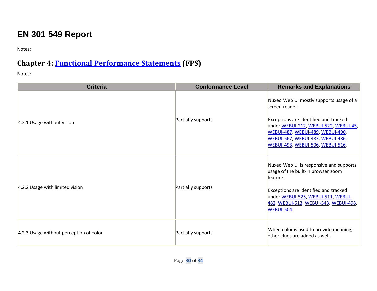# **EN 301 549 Report**

Notes:

## **Chapter 4: [Functional Performance Statements](https://www.etsi.org/deliver/etsi_en/301500_301599/301549/03.01.01_60/en_301549v030101p.pdf#%5B%7B%22num%22%3A38%2C%22gen%22%3A0%7D%2C%7B%22name%22%3A%22XYZ%22%7D%2C54%2C747%2C0%5D) (FPS)**

| <b>Criteria</b>                         | <b>Conformance Level</b> | <b>Remarks and Explanations</b>                                                                                                                                                                                                                                              |
|-----------------------------------------|--------------------------|------------------------------------------------------------------------------------------------------------------------------------------------------------------------------------------------------------------------------------------------------------------------------|
| 4.2.1 Usage without vision              | Partially supports       | Nuxeo Web UI mostly supports usage of a<br>screen reader.<br>Exceptions are identified and tracked<br>under WEBUI-212, WEBUI-522, WEBUI-45,<br><b>WEBUI-487, WEBUI-489, WEBUI-490,</b><br><b>WEBUI-567, WEBUI-483, WEBUI-486,</b><br><b>WEBUI-493, WEBUI-506, WEBUI-516.</b> |
| 4.2.2 Usage with limited vision         | Partially supports       | Nuxeo Web UI is responsive and supports<br>usage of the built-in browser zoom<br>feature.<br>Exceptions are identified and tracked<br>under WEBUI-525, WEBUI-511, WEBUI-<br>482, WEBUI-513, WEBUI-543, WEBUI-498,<br><b>WEBUI-504.</b>                                       |
| 4.2.3 Usage without perception of color | Partially supports       | When color is used to provide meaning,<br>other clues are added as well.                                                                                                                                                                                                     |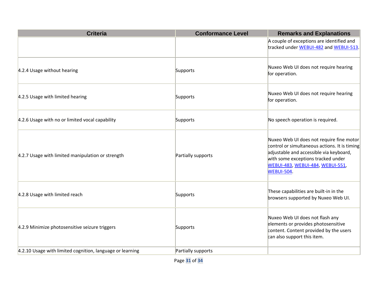| <b>Criteria</b>                                           | <b>Conformance Level</b> | <b>Remarks and Explanations</b>                                                                                                                                                                                                            |
|-----------------------------------------------------------|--------------------------|--------------------------------------------------------------------------------------------------------------------------------------------------------------------------------------------------------------------------------------------|
|                                                           |                          | A couple of exceptions are identified and<br>tracked under WEBUI-482 and WEBUI-513.                                                                                                                                                        |
| 4.2.4 Usage without hearing                               | Supports                 | Nuxeo Web UI does not require hearing<br>for operation.                                                                                                                                                                                    |
| 4.2.5 Usage with limited hearing                          | Supports                 | Nuxeo Web UI does not require hearing<br>for operation.                                                                                                                                                                                    |
| 4.2.6 Usage with no or limited vocal capability           | Supports                 | No speech operation is required.                                                                                                                                                                                                           |
| 4.2.7 Usage with limited manipulation or strength         | Partially supports       | Nuxeo Web UI does not require fine motor<br>control or simultaneous actions. It is timing<br>adjustable and accessible via keyboard,<br>with some exceptions tracked under<br><b>WEBUI-483, WEBUI-484, WEBUI-551,</b><br><b>WEBUI-504.</b> |
| 4.2.8 Usage with limited reach                            | Supports                 | These capabilities are built-in in the<br>browsers supported by Nuxeo Web UI.                                                                                                                                                              |
| 4.2.9 Minimize photosensitive seizure triggers            | Supports                 | Nuxeo Web UI does not flash any<br>elements or provides photosensitive<br>content. Content provided by the users<br>can also support this item.                                                                                            |
| 4.2.10 Usage with limited cognition, language or learning | Partially supports       |                                                                                                                                                                                                                                            |

Page **31** of **34**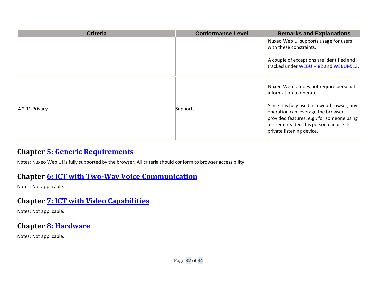| <b>Criteria</b>  | <b>Conformance Level</b> | <b>Remarks and Explanations</b>                                                                                                                                                                           |
|------------------|--------------------------|-----------------------------------------------------------------------------------------------------------------------------------------------------------------------------------------------------------|
|                  |                          | Nuxeo Web UI supports usage for users<br>with these constraints.                                                                                                                                          |
|                  |                          | A couple of exceptions are identified and<br>tracked under WEBUI-482 and WEBUI-513.                                                                                                                       |
| $4.2.11$ Privacy |                          | Nuxeo Web UI does not require personal<br>information to operate.                                                                                                                                         |
|                  | Supports                 | Since it is fully used in a web browser, any<br>operation can leverage the browser<br>provided features: e.g., for someone using<br>a screen reader, this person can use its<br>private listening device. |

### **Chapter [5: Generic Requirements](https://www.etsi.org/deliver/etsi_en/301500_301599/301549/03.01.01_60/en_301549v030101p.pdf#%5B%7B%22num%22%3A45%2C%22gen%22%3A0%7D%2C%7B%22name%22%3A%22XYZ%22%7D%2C54%2C747%2C0%5D)**

Notes: Nuxeo Web UI is fully supported by the browser. All criteria should conform to browser accessibility.

### **Chapter [6: ICT with Two-Way Voice Communication](https://www.etsi.org/deliver/etsi_en/301500_301599/301549/03.01.01_60/en_301549v030101p.pdf#%5B%7B%22num%22%3A60%2C%22gen%22%3A0%7D%2C%7B%22name%22%3A%22XYZ%22%7D%2C54%2C747%2C0%5D)**

Notes: Not applicable.

### **Chapter [7: ICT with Video Capabilities](https://www.etsi.org/deliver/etsi_en/301500_301599/301549/03.01.01_60/en_301549v030101p.pdf#%5B%7B%22num%22%3A70%2C%22gen%22%3A0%7D%2C%7B%22name%22%3A%22XYZ%22%7D%2C54%2C747%2C0%5D)**

Notes: Not applicable.

## **Chapter [8: Hardware](https://www.etsi.org/deliver/etsi_en/301500_301599/301549/03.01.01_60/en_301549v030101p.pdf#%5B%7B%22num%22%3A74%2C%22gen%22%3A0%7D%2C%7B%22name%22%3A%22XYZ%22%7D%2C54%2C747%2C0%5D)**

Notes: Not applicable.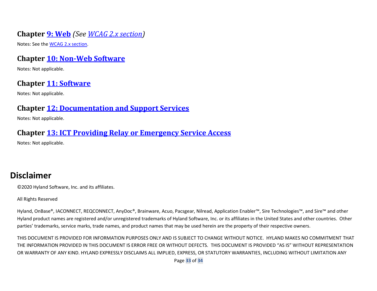### **Chapter [9: Web](https://www.etsi.org/deliver/etsi_en/301500_301599/301549/03.01.01_60/en_301549v030101p.pdf#%5B%7B%22num%22%3A113%2C%22gen%22%3A0%7D%2C%7B%22name%22%3A%22XYZ%22%7D%2C54%2C747%2C0%5D)** *(See WCAG 2.x section)*

Notes: See th[e WCAG 2.x section.](bookmark://_WCAG_2.x_Report/)

#### **Chapter [10: Non-Web Software](https://www.etsi.org/deliver/etsi_en/301500_301599/301549/03.01.01_60/en_301549v030101p.pdf#%5B%7B%22num%22%3A127%2C%22gen%22%3A0%7D%2C%7B%22name%22%3A%22XYZ%22%7D%2C54%2C747%2C0%5D)**

Notes: Not applicable.

### **Chapter [11: Software](https://www.etsi.org/deliver/etsi_en/301500_301599/301549/03.01.01_60/en_301549v030101p.pdf#%5B%7B%22num%22%3A149%2C%22gen%22%3A0%7D%2C%7B%22name%22%3A%22XYZ%22%7D%2C54%2C747%2C0%5D)**

Notes: Not applicable.

### **Chapter [12: Documentation and Support Services](https://www.etsi.org/deliver/etsi_en/301500_301599/301549/03.01.01_60/en_301549v030101p.pdf#%5B%7B%22num%22%3A187%2C%22gen%22%3A0%7D%2C%7B%22name%22%3A%22XYZ%22%7D%2C54%2C747%2C0%5D)**

Notes: Not applicable.

#### **Chapter [13: ICT Providing Relay or Emergency Service Access](https://www.etsi.org/deliver/etsi_en/301500_301599/301549/03.01.01_60/en_301549v030101p.pdf#%5B%7B%22num%22%3A191%2C%22gen%22%3A0%7D%2C%7B%22name%22%3A%22XYZ%22%7D%2C54%2C747%2C0%5D)**

Notes: Not applicable.

# **Disclaimer**

©2020 Hyland Software, Inc. and its affiliates.

All Rights Reserved

Hyland, OnBase®, IACONNECT, REQCONNECT, AnyDoc®, Brainware, Acuo, Pacsgear, Nilread, Application Enabler™, Sire Technologies™, and Sire™ and other Hyland product names are registered and/or unregistered trademarks of Hyland Software, Inc. or its affiliates in the United States and other countries. Other parties' trademarks, service marks, trade names, and product names that may be used herein are the property of their respective owners.

THIS DOCUMENT IS PROVIDED FOR INFORMATION PURPOSES ONLY AND IS SUBJECT TO CHANGE WITHOUT NOTICE. HYLAND MAKES NO COMMITMENT THAT THE INFORMATION PROVIDED IN THIS DOCUMENT IS ERROR FREE OR WITHOUT DEFECTS. THIS DOCUMENT IS PROVIDED "AS IS" WITHOUT REPRESENTATION OR WARRANTY OF ANY KIND. HYLAND EXPRESSLY DISCLAIMS ALL IMPLIED, EXPRESS, OR STATUTORY WARRANTIES, INCLUDING WITHOUT LIMITATION ANY

Page **33** of **34**